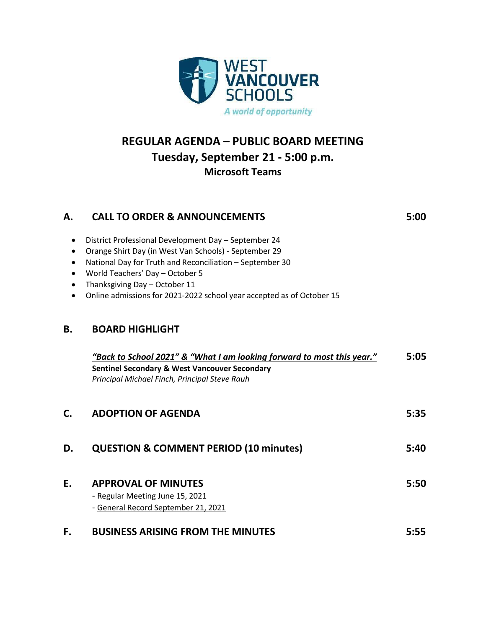

## **REGULAR AGENDA – PUBLIC BOARD MEETING Tuesday, September 21 - 5:00 p.m. Microsoft Teams**

| Α.        | <b>CALL TO ORDER &amp; ANNOUNCEMENTS</b>                                                               | 5:00 |
|-----------|--------------------------------------------------------------------------------------------------------|------|
| $\bullet$ | District Professional Development Day - September 24                                                   |      |
| $\bullet$ | Orange Shirt Day (in West Van Schools) - September 29                                                  |      |
|           | National Day for Truth and Reconciliation - September 30                                               |      |
|           | World Teachers' Day - October 5                                                                        |      |
|           | Thanksgiving Day - October 11<br>Online admissions for 2021-2022 school year accepted as of October 15 |      |
|           |                                                                                                        |      |
| <b>B.</b> | <b>BOARD HIGHLIGHT</b>                                                                                 |      |
|           | "Back to School 2021" & "What I am looking forward to most this year."                                 | 5:05 |
|           | <b>Sentinel Secondary &amp; West Vancouver Secondary</b>                                               |      |
|           | Principal Michael Finch, Principal Steve Rauh                                                          |      |
| C.        | <b>ADOPTION OF AGENDA</b>                                                                              | 5:35 |
| D.        | <b>QUESTION &amp; COMMENT PERIOD (10 minutes)</b>                                                      | 5:40 |
|           |                                                                                                        |      |
| E.        | <b>APPROVAL OF MINUTES</b>                                                                             | 5:50 |
|           | - Regular Meeting June 15, 2021                                                                        |      |
|           | - General Record September 21, 2021                                                                    |      |
| F.        | <b>BUSINESS ARISING FROM THE MINUTES</b>                                                               | 5:55 |
|           |                                                                                                        |      |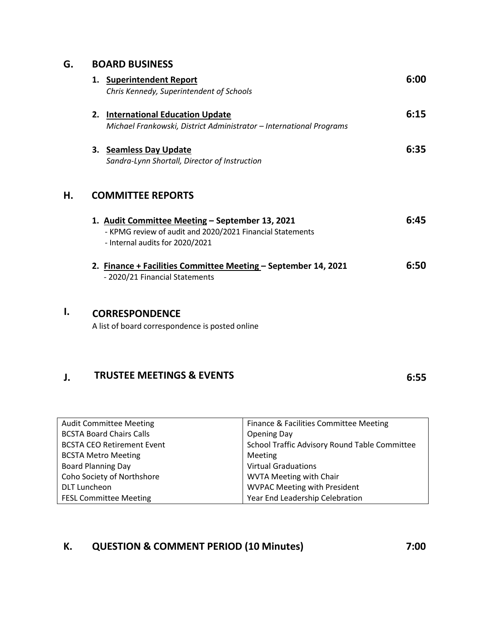#### **G. BOARD BUSINESS**

|    | 1. Superintendent Report<br>Chris Kennedy, Superintendent of Schools                                                                            | 6:00 |  |
|----|-------------------------------------------------------------------------------------------------------------------------------------------------|------|--|
|    | <b>International Education Update</b><br>2.<br>Michael Frankowski, District Administrator - International Programs                              | 6:15 |  |
|    | 3. Seamless Day Update<br>Sandra-Lynn Shortall, Director of Instruction                                                                         | 6:35 |  |
| Η. | <b>COMMITTEE REPORTS</b>                                                                                                                        |      |  |
|    | 1. Audit Committee Meeting - September 13, 2021<br>- KPMG review of audit and 2020/2021 Financial Statements<br>- Internal audits for 2020/2021 | 6:45 |  |
|    | 2. Finance + Facilities Committee Meeting - September 14, 2021<br>- 2020/21 Financial Statements                                                | 6:50 |  |
| I. | <b>CORRESPONDENCE</b><br>A list of board correspondence is posted online                                                                        |      |  |

### **J. TRUSTEE MEETINGS & EVENTS 6:55**

| <b>Audit Committee Meeting</b>    | Finance & Facilities Committee Meeting        |  |
|-----------------------------------|-----------------------------------------------|--|
| <b>BCSTA Board Chairs Calls</b>   | <b>Opening Day</b>                            |  |
| <b>BCSTA CEO Retirement Event</b> | School Traffic Advisory Round Table Committee |  |
| <b>BCSTA Metro Meeting</b>        | Meeting                                       |  |
| <b>Board Planning Day</b>         | <b>Virtual Graduations</b>                    |  |
| Coho Society of Northshore        | <b>WVTA Meeting with Chair</b>                |  |
| <b>DLT Luncheon</b>               | <b>WVPAC Meeting with President</b>           |  |
| <b>FESL Committee Meeting</b>     | Year End Leadership Celebration               |  |

# **K. QUESTION & COMMENT PERIOD (10 Minutes) 7:00**